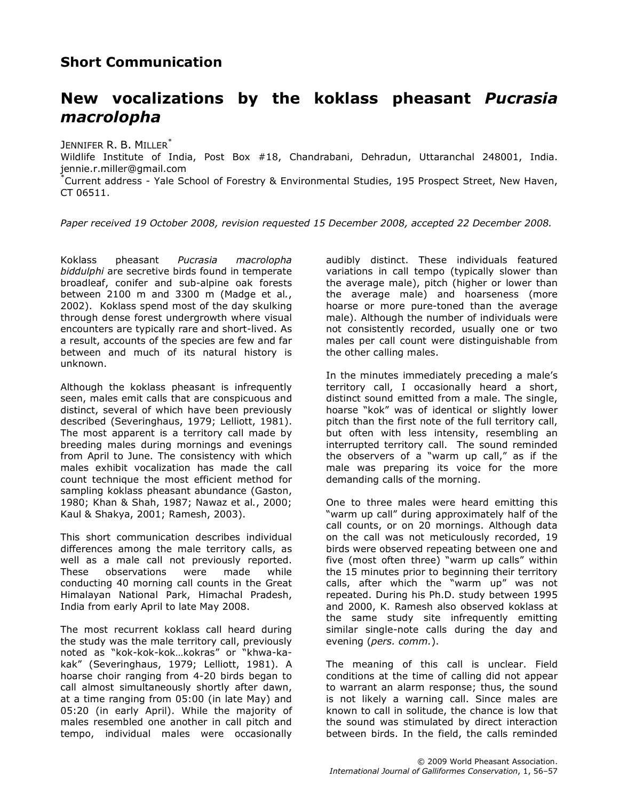## Short Communication

## New vocalizations by the koklass pheasant Pucrasia macrolopha

JENNIFER R. B. MILLER<sup>\*</sup>

Wildlife Institute of India, Post Box #18, Chandrabani, Dehradun, Uttaranchal 248001, India. jennie.r.miller@gmail.com

\*Current address - Yale School of Forestry & Environmental Studies, 195 Prospect Street, New Haven, CT 06511.

Paper received 19 October 2008, revision requested 15 December 2008, accepted 22 December 2008.

Koklass pheasant Pucrasia macrolopha biddulphi are secretive birds found in temperate broadleaf, conifer and sub-alpine oak forests between 2100 m and 3300 m (Madge et al., 2002). Koklass spend most of the day skulking through dense forest undergrowth where visual encounters are typically rare and short-lived. As a result, accounts of the species are few and far between and much of its natural history is unknown.

Although the koklass pheasant is infrequently seen, males emit calls that are conspicuous and distinct, several of which have been previously described (Severinghaus, 1979; Lelliott, 1981). The most apparent is a territory call made by breeding males during mornings and evenings from April to June. The consistency with which males exhibit vocalization has made the call count technique the most efficient method for sampling koklass pheasant abundance (Gaston, 1980; Khan & Shah, 1987; Nawaz et al., 2000; Kaul & Shakya, 2001; Ramesh, 2003).

This short communication describes individual differences among the male territory calls, as well as a male call not previously reported. These observations were made while conducting 40 morning call counts in the Great Himalayan National Park, Himachal Pradesh, India from early April to late May 2008.

The most recurrent koklass call heard during the study was the male territory call, previously noted as "kok-kok-kok…kokras" or "khwa-kakak" (Severinghaus, 1979; Lelliott, 1981). A hoarse choir ranging from 4-20 birds began to call almost simultaneously shortly after dawn, at a time ranging from 05:00 (in late May) and 05:20 (in early April). While the majority of males resembled one another in call pitch and tempo, individual males were occasionally audibly distinct. These individuals featured variations in call tempo (typically slower than the average male), pitch (higher or lower than the average male) and hoarseness (more hoarse or more pure-toned than the average male). Although the number of individuals were not consistently recorded, usually one or two males per call count were distinguishable from the other calling males.

In the minutes immediately preceding a male's territory call, I occasionally heard a short, distinct sound emitted from a male. The single, hoarse "kok" was of identical or slightly lower pitch than the first note of the full territory call, but often with less intensity, resembling an interrupted territory call. The sound reminded the observers of a "warm up call," as if the male was preparing its voice for the more demanding calls of the morning.

One to three males were heard emitting this "warm up call" during approximately half of the call counts, or on 20 mornings. Although data on the call was not meticulously recorded, 19 birds were observed repeating between one and five (most often three) "warm up calls" within the 15 minutes prior to beginning their territory calls, after which the "warm up" was not repeated. During his Ph.D. study between 1995 and 2000, K. Ramesh also observed koklass at the same study site infrequently emitting similar single-note calls during the day and evening (pers. comm.).

The meaning of this call is unclear. Field conditions at the time of calling did not appear to warrant an alarm response; thus, the sound is not likely a warning call. Since males are known to call in solitude, the chance is low that the sound was stimulated by direct interaction between birds. In the field, the calls reminded